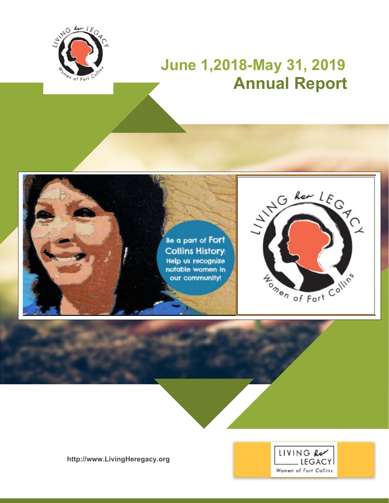

# **June 1,2018-May 31, 2019 Annual Report**







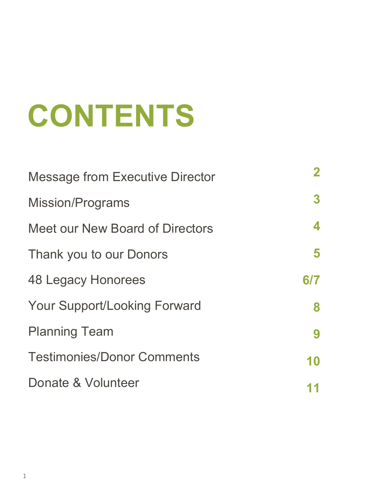# **CONTENTS**

| <b>Message from Executive Director</b> | $\mathbf{2}$ |
|----------------------------------------|--------------|
| <b>Mission/Programs</b>                | 3            |
| Meet our New Board of Directors        | 4            |
| Thank you to our Donors                | 5            |
| <b>48 Legacy Honorees</b>              | 6/7          |
| <b>Your Support/Looking Forward</b>    | 8            |
| <b>Planning Team</b>                   | 9            |
| <b>Testimonies/Donor Comments</b>      | 10           |
| Donate & Volunteer                     |              |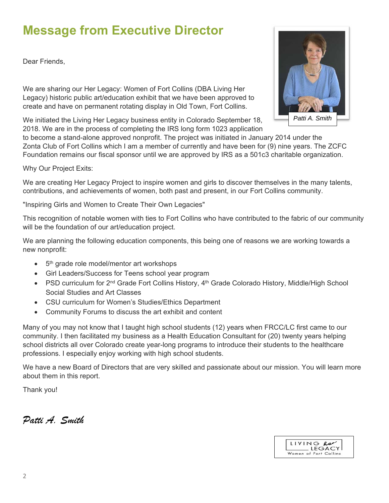#### **Message from Executive Director**

Dear Friends,

We are sharing our Her Legacy: Women of Fort Collins (DBA Living Her Legacy) historic public art/education exhibit that we have been approved to create and have on permanent rotating display in Old Town, Fort Collins.

We initiated the Living Her Legacy business entity in Colorado September 18, 2018. We are in the process of completing the IRS long form 1023 application

to become a stand-alone approved nonprofit. The project was initiated in January 2014 under the Zonta Club of Fort Collins which I am a member of currently and have been for (9) nine years. The ZCFC Foundation remains our fiscal sponsor until we are approved by IRS as a 501c3 charitable organization.

Why Our Project Exits:

We are creating Her Legacy Project to inspire women and girls to discover themselves in the many talents, contributions, and achievements of women, both past and present, in our Fort Collins community.

"Inspiring Girls and Women to Create Their Own Legacies"

This recognition of notable women with ties to Fort Collins who have contributed to the fabric of our community will be the foundation of our art/education project.

We are planning the following education components, this being one of reasons we are working towards a new nonprofit:

- $\bullet$  5<sup>th</sup> grade role model/mentor art workshops
- Girl Leaders/Success for Teens school year program
- PSD curriculum for 2<sup>nd</sup> Grade Fort Collins History, 4<sup>th</sup> Grade Colorado History, Middle/High School Social Studies and Art Classes
- CSU curriculum for Women's Studies/Ethics Department
- Community Forums to discuss the art exhibit and content

Many of you may not know that I taught high school students (12) years when FRCC/LC first came to our community. I then facilitated my business as a Health Education Consultant for (20) twenty years helping school districts all over Colorado create year-long programs to introduce their students to the healthcare professions. I especially enjoy working with high school students.

We have a new Board of Directors that are very skilled and passionate about our mission. You will learn more about them in this report.

Thank you!

*Patti A. Smith* 



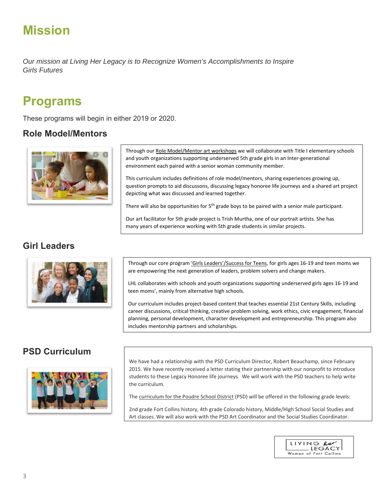#### **Mission**

*Our mission at Living Her Legacy is to Recognize Women's Accomplishments to Inspire Girls Futures* 

#### **Programs**

These programs will begin in either 2019 or 2020.

#### **Role Model/Mentors**



Through our Role Model/Mentor art workshops we will collaborate with Title I elementary schools and youth organizations supporting underserved 5th grade girls in an Inter‐generational environment each paired with a senior woman community member.

This curriculum includes definitions of role model/mentors, sharing experiences growing up, question prompts to aid discussons, discussing legacy honoree life journeys and a shared art project depicting what was discussed and learned together.

There will also be opportunities for 5<sup>th</sup> grade boys to be paired with a senior male participant.

Our art facilitator for 5th grade project is Trish Murtha, one of our portrait artists. She has many years of experience working with 5th grade students in similar projects.

#### **Girl Leaders**



Through our core program 'Girls Leaders'/Success for Teens, for girls ages 16‐19 and teen moms we are empowering the next generation of leaders, problem solvers and change makers.

LHL collaborates with schools and youth organizations supporting underserved girls ages 16‐19 and teen moms', mainly from alternative high schools.

Our curriculum includes project‐based content that teaches essential 21st Century Skills, including career discussions, critical thinking, creative problem solving, work ethics, civic engagement, financial planning, personal development, character development and entrepreneurship. This program also includes mentorship partners and scholarships.

#### **PSD Curriculum**



We have had a relationship with the PSD Curriculum Director, Robert Beauchamp, since February 2015. We have recently received a letter stating their partnership with our nonprofit to introduce students to these Legacy Honoree life journeys. We will work with the PSD teachers to help write the curriculum.

The curriculum for the Poudre School District (PSD) will be offered in the following grade levels:

2nd grade Fort Collins history, 4th grade Colorado history, Middle/High School Social Studies and Art classes. We will also work with the PSD Art Coordinator and the Social Studies Coordinator.

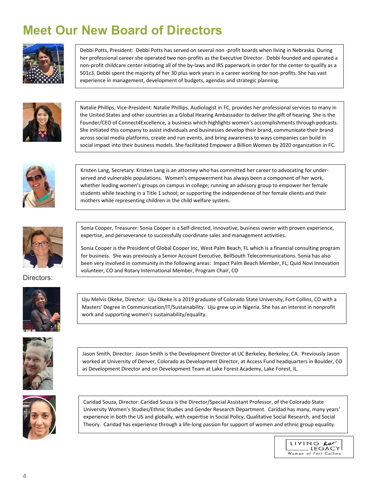# **Meet Our New Board of Directors**



Debbi Potts, President: Debbi Potts has served on several non ‐profit boards when living in Nebraska. During her professional career she operated two non-profits as the Executive Director. Debbi founded and operated a non‐profit childcare center initiating all of the by‐laws and IRS paperwork in order for the center to qualify as a 501c3. Debbi spent the majority of her 30 plus work years in a career working for non‐profits. She has vast experience in management, development of budgets, agendas and strategic planning.



Natalie Phillips, Vice‐President: Natalie Phillips, Audiologist in FC, provides her professional services to many in the United States and other countries as a Global Hearing Ambassador to deliver the gift of hearing. She is the Founder/CEO of Connect4Excellence, a business which highlights women's accomplishments through podcasts. She initiated this company to assist individuals and businesses develop their brand, communicate their brand across social media platforms, create and run events, and bring awareness to ways companies can build in social impact into their business models. She facilitated Empower a Billion Women by 2020 organization in FC.



Kristen Lang, Secretary: Kristen Lang is an attorney who has committed her career to advocating for under‐ served and vulnerable populations. Women's empowerment has always been a component of her work, whether leading women's groups on campus in college; running an advisory group to empower her female students while teaching in a Title 1 school; or supporting the independence of her female clients and their mothers while representing children in the child welfare system.



Sonia Cooper, Treasurer: Sonia Cooper is a Self‐directed, innovative, business owner with proven experience, expertise, and perseverance to successfully coordinate sales and management activities.

Sonia Cooper is the President of Global Cooper Inc, West Palm Beach, FL which is a financial consulting program for business. She was previously a Senior Account Executive, BellSouth Telecommunications. Sonia has also been very involved in community in the following areas: Impact Palm Beach Member, FL; Quid Novi Innovation volunteer, CO and Rotary International Member, Program Chair, CO

Directors:



Uju Melvis Okeke, Director: Uju Okeke is a 2019 graduate of Colorado State University, Fort Collins, CO with a Masters' Degree in Communication/IT/Sustainability. Uju grew up in Nigeria. She has an interest in nonprofit work and supporting women's sustainability/equality.



Jason Smith, Director: Jason Smith is the Development Director at UC Berkeley, Berkeley, CA. Previously Jason worked at University of Denver, Colorado as Development Director, at Access Fund headquarters in Boulder, CO as Development Director and on Development Team at Lake Forest Academy, Lake Forest, IL.



Caridad Souza, Director: Caridad Souza is the Director/Special Assistant Professor, of the Colorado State University Women's Studies/Ethnic Studies and Gender Research Department. Caridad has many, many years' experience in both the US and globally, with expertise in Social Policy, Qualitative Social Research, and Social Theory. Caridad has experience through a life-long passion for support of women and ethnic group equality.

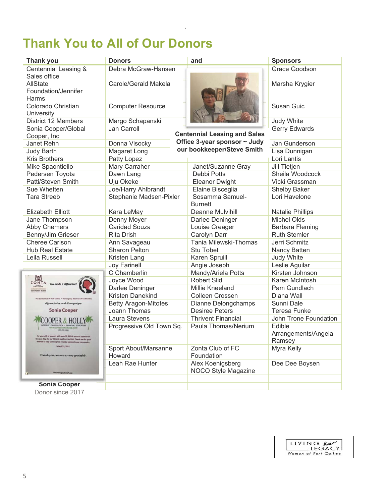# **Thank You to All of Our Donors**

| <b>Thank you</b>                    | <b>Donors</b>               | and                                 | <b>Sponsors</b>               |
|-------------------------------------|-----------------------------|-------------------------------------|-------------------------------|
| Centennial Leasing &                | Debra McGraw-Hansen         |                                     | Grace Goodson                 |
| Sales office                        |                             |                                     |                               |
| <b>AllState</b>                     | Carole/Gerald Makela        |                                     | Marsha Krygier                |
| Foundation/Jennifer                 |                             |                                     |                               |
| Harms                               |                             |                                     |                               |
| Colorado Christian<br>University    | <b>Computer Resource</b>    |                                     | Susan Guic                    |
| <b>District 12 Members</b>          | Margo Schapanski            |                                     | Judy White                    |
| Sonia Cooper/Global                 | Jan Carroll                 |                                     | <b>Gerry Edwards</b>          |
| Cooper, Inc                         |                             | <b>Centennial Leasing and Sales</b> |                               |
| Janet Rehn                          | Donna Visocky               | Office 3-year sponsor $\sim$ Judy   | Jan Gunderson                 |
| <b>Judy Barth</b>                   | Magaret Long                | our bookkeeper/Steve Smith          | Lisa Dunnigan                 |
| <b>Kris Brothers</b>                | Patty Lopez                 |                                     | Lori Lantis                   |
| Mike Spaontiello                    | Mary Carraher               | Janet/Suzanne Gray                  | Jill Tietjen                  |
| Pedersen Toyota                     | Dawn Lang                   | Debbi Potts                         | Sheila Woodcock               |
| Patti/Steven Smith                  | Uju Okeke                   | <b>Eleanor Dwight</b>               | Vicki Grassman                |
| Sue Whetten                         | Joe/Harry Ahlbrandt         | Elaine Bisceglia                    | <b>Shelby Baker</b>           |
| <b>Tara Streeb</b>                  | Stephanie Madsen-Pixler     | Sosamma Samuel-                     | Lori Havelone                 |
|                                     |                             | <b>Burnett</b>                      |                               |
| <b>Elizabeth Elliott</b>            | Kara LeMay                  | <b>Deanne Mulvihill</b>             | <b>Natalie Phillips</b>       |
| Jane Thompson                       | Denny Moyer                 | Darlee Deninger                     | <b>Michel Olds</b>            |
| <b>Abby Chemers</b>                 | <b>Caridad Souza</b>        | Louise Creager                      | Barbara Fleming               |
| Benny/Jim Grieser                   | <b>Rita Drish</b>           | Carolyn Darr                        | <b>Ruth Stemler</b>           |
| <b>Cheree Carlson</b>               | Ann Savageau                | Tania Milewski-Thomas               | Jerri Schmitz                 |
| <b>Hub Real Estate</b>              | <b>Sharon Pelton</b>        | Stu Tobet                           | Nancy Batten                  |
| Leila Russell                       | Kristen Lang                | Karen Spruill                       | Judy White                    |
|                                     | <b>Joy Farinell</b>         | Angie Joseph                        | Leslie Aguilar                |
| /風                                  | C Chamberlin                | Mandy/Ariela Potts                  | Kirsten Johnson               |
| ZONT                                | Joyce Wood                  | <b>Robert Slid</b>                  | Karen McIntosh                |
|                                     | Darlee Deninger             | Millie Kneeland                     | Pam Gundlach                  |
| Collins ~ Her Legacy: W             | Kristen Danekind            | Colleen Crossen                     | Diana Wall                    |
| Appreciates and Recognizes          | <b>Betty Aragon-Mitotes</b> | Dianne Delongchamps                 | Sunni Dale                    |
| Sonia Cooper                        | Joann Thomas                | <b>Desiree Peters</b>               | <b>Teresa Funke</b>           |
|                                     | Laura Stevens               | <b>Thrivent Financial</b>           | John Trone Foundation         |
|                                     | Progressive Old Town Sq.    | Paula Thomas/Nerium                 | Edible                        |
| of the DOZ.52 with your \$10.000 pe |                             |                                     | Arrangements/Angela<br>Ramsey |
| March 31, 2018                      | Sport About/Marsanne        | Zonta Club of FC                    | Myra Kelly                    |
| Thank you, we are so very grateful. | Howard                      | Foundation                          |                               |
|                                     | Leah Rae Hunter             | Alex Koenigsberg                    | Dee Dee Boysen                |
|                                     |                             | NOCO Style Magazine                 |                               |
|                                     |                             |                                     |                               |
| <b>Sonia Cooper</b>                 |                             |                                     |                               |
| Donor since 2017                    |                             |                                     |                               |

*.* 

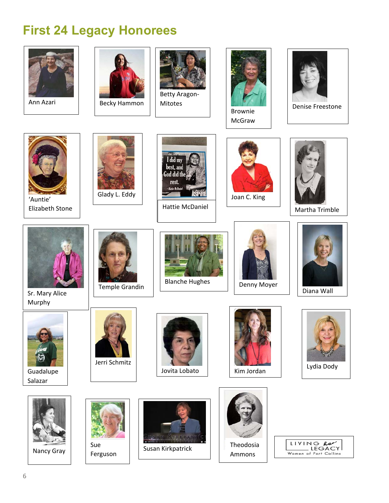#### **First 24 Legacy Honorees**

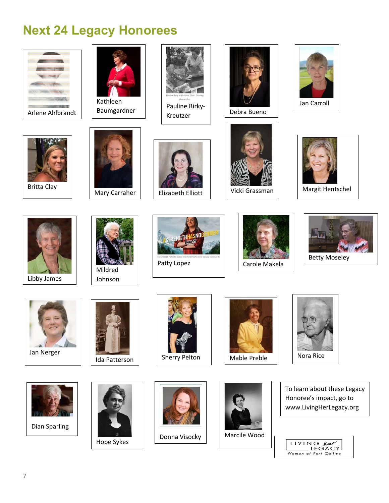# **Next 24 Legacy Honorees**

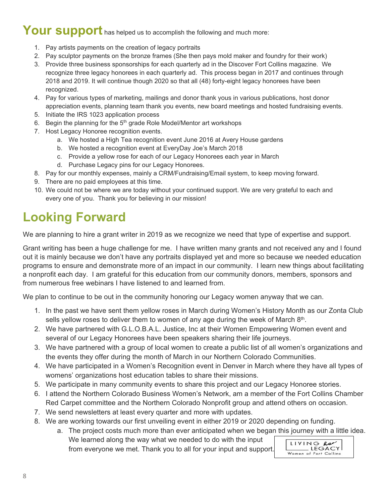# **Your support** has helped us to accomplish the following and much more:

- 1. Pay artists payments on the creation of legacy portraits
- 2. Pay sculptor payments on the bronze frames (She then pays mold maker and foundry for their work)
- 3. Provide three business sponsorships for each quarterly ad in the Discover Fort Collins magazine. We recognize three legacy honorees in each quarterly ad. This process began in 2017 and continues through 2018 and 2019. It will continue though 2020 so that all (48) forty-eight legacy honorees have been recognized.
- 4. Pay for various types of marketing, mailings and donor thank yous in various publications, host donor appreciation events, planning team thank you events, new board meetings and hosted fundraising events.
- 5. Initiate the IRS 1023 application process
- 6. Begin the planning for the  $5<sup>th</sup>$  grade Role Model/Mentor art workshops
- 7. Host Legacy Honoree recognition events.
	- a. We hosted a High Tea recognition event June 2016 at Avery House gardens
	- b. We hosted a recognition event at EveryDay Joe's March 2018
	- c. Provide a yellow rose for each of our Legacy Honorees each year in March
	- d. Purchase Legacy pins for our Legacy Honorees.
- 8. Pay for our monthly expenses, mainly a CRM/Fundraising/Email system, to keep moving forward.
- 9. There are no paid employees at this time.
- 10. We could not be where we are today without your continued support. We are very grateful to each and every one of you. Thank you for believing in our mission!

# **Looking Forward**

We are planning to hire a grant writer in 2019 as we recognize we need that type of expertise and support.

Grant writing has been a huge challenge for me. I have written many grants and not received any and I found out it is mainly because we don't have any portraits displayed yet and more so because we needed education programs to ensure and demonstrate more of an impact in our community. I learn new things about facilitating a nonprofit each day. I am grateful for this education from our community donors, members, sponsors and from numerous free webinars I have listened to and learned from.

We plan to continue to be out in the community honoring our Legacy women anyway that we can.

- 1. In the past we have sent them yellow roses in March during Women's History Month as our Zonta Club sells yellow roses to deliver them to women of any age during the week of March  $8<sup>th</sup>$ .
- 2. We have partnered with G.L.O.B.A.L. Justice, Inc at their Women Empowering Women event and several of our Legacy Honorees have been speakers sharing their life journeys.
- 3. We have partnered with a group of local women to create a public list of all women's organizations and the events they offer during the month of March in our Northern Colorado Communities.
- 4. We have participated in a Women's Recognition event in Denver in March where they have all types of womens' organizations host education tables to share their missions.
- 5. We participate in many community events to share this project and our Legacy Honoree stories.
- 6. I attend the Northern Colorado Business Women's Network, am a member of the Fort Collins Chamber Red Carpet committee and the Northern Colorado Nonprofit group and attend others on occasion.
- 7. We send newsletters at least every quarter and more with updates.
- 8. We are working towards our first unveiling event in either 2019 or 2020 depending on funding.

from everyone we met. Thank you to all for your input and support.

a. The project costs much more than ever anticipated when we began this journey with a little idea. We learned along the way what we needed to do with the input

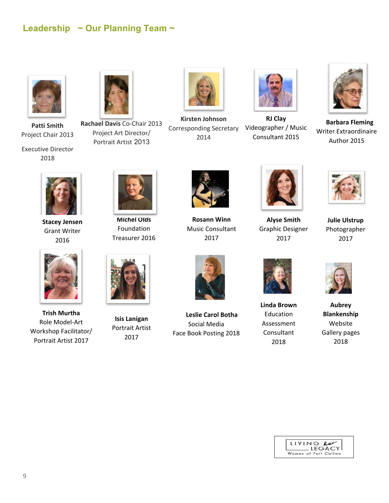#### **Leadership ~ Our Planning Team ~**



**Patti Smith**  Project Chair 2013

Executive Director 2018



**Rachael Davis** Co‐Chair 2013 Project Art Director/ Portrait Artist 2013



**Kirsten Johnson**  Corresponding Secretary 2014



 Consultant 2015 **RJ Clay** Videographer / Music



 **Barbara Fleming** Writer Extraordinaire Author 2015



**Stacey Jensen** Grant Writer 2016



**Trish Murtha** Role Model‐Art Workshop Facilitator/ Portrait Artist 2017



**Michel Olds** Foundation Treasurer 2016



**Isis Lanigan** Portrait Artist 2017



**Rosann Winn** Music Consultant 2017



 **Leslie Carol Botha** Social Media Face Book Posting 2018



**Alyse Smith** Graphic Designer 2017



**Julie Ulstrup** Photographer 2017



**Linda Brown** Education Assessment Consultant 2018



**Aubrey Blankenship**  Website Gallery pages 2018

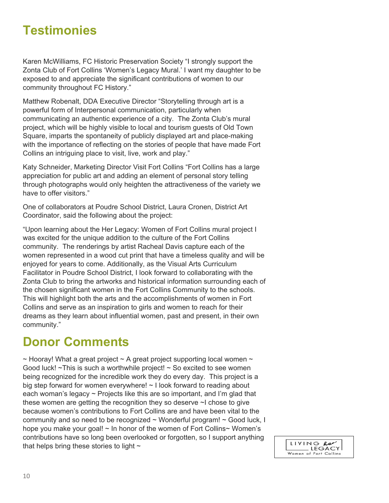#### **Testimonies**

Karen McWilliams, FC Historic Preservation Society "I strongly support the Zonta Club of Fort Collins 'Women's Legacy Mural.' I want my daughter to be exposed to and appreciate the significant contributions of women to our community throughout FC History."

Matthew Robenalt, DDA Executive Director "Storytelling through art is a powerful form of Interpersonal communication, particularly when communicating an authentic experience of a city. The Zonta Club's mural project, which will be highly visible to local and tourism guests of Old Town Square, imparts the spontaneity of publicly displayed art and place-making with the importance of reflecting on the stories of people that have made Fort Collins an intriguing place to visit, live, work and play."

Katy Schneider, Marketing Director Visit Fort Collins "Fort Collins has a large appreciation for public art and adding an element of personal story telling through photographs would only heighten the attractiveness of the variety we have to offer visitors."

One of collaborators at Poudre School District, Laura Cronen, District Art Coordinator, said the following about the project:

"Upon learning about the Her Legacy: Women of Fort Collins mural project I was excited for the unique addition to the culture of the Fort Collins community. The renderings by artist Racheal Davis capture each of the women represented in a wood cut print that have a timeless quality and will be enjoyed for years to come. Additionally, as the Visual Arts Curriculum Facilitator in Poudre School District, I look forward to collaborating with the Zonta Club to bring the artworks and historical information surrounding each of the chosen significant women in the Fort Collins Community to the schools. This will highlight both the arts and the accomplishments of women in Fort Collins and serve as an inspiration to girls and women to reach for their dreams as they learn about influential women, past and present, in their own community."

#### **Donor Comments**

 $\sim$  Hooray! What a great project  $\sim$  A great project supporting local women  $\sim$ Good luck!  $\sim$ This is such a worthwhile project!  $\sim$  So excited to see women being recognized for the incredible work they do every day. This project is a big step forward for women everywhere! ~ I look forward to reading about each woman's legacy  $\sim$  Projects like this are so important, and I'm glad that these women are getting the recognition they so deserve ~I chose to give because women's contributions to Fort Collins are and have been vital to the community and so need to be recognized  $\sim$  Wonderful program!  $\sim$  Good luck, I hope you make your goal! ~ In honor of the women of Fort Collins~ Women's contributions have so long been overlooked or forgotten, so I support anything that helps bring these stories to light  $\sim$ 

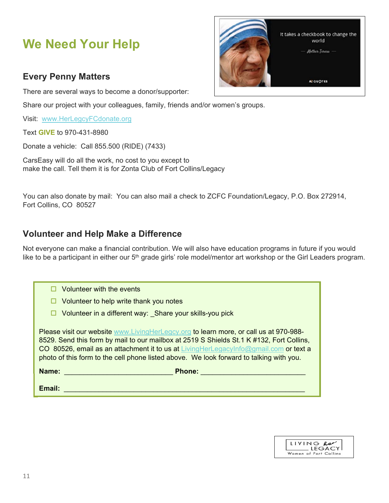# **We Need Your Help**

#### **Every Penny Matters**

There are several ways to become a donor/supporter:

Share our project with your colleagues, family, friends and/or women's groups.

Visit: www.HerLegcyFCdonate.org

Text **GIVE** to 970-431-8980

Donate a vehicle: Call 855.500 (RIDE) (7433)

CarsEasy will do all the work, no cost to you except to make the call. Tell them it is for Zonta Club of Fort Collins/Legacy

You can also donate by mail: You can also mail a check to ZCFC Foundation/Legacy, P.O. Box 272914, Fort Collins, CO 80527

#### **Volunteer and Help Make a Difference**

Not everyone can make a financial contribution. We will also have education programs in future if you would like to be a participant in either our 5<sup>th</sup> grade girls' role model/mentor art workshop or the Girl Leaders program.

| Volunteer with the events                                                                                                                                                                                                                                                                                                                                            |
|----------------------------------------------------------------------------------------------------------------------------------------------------------------------------------------------------------------------------------------------------------------------------------------------------------------------------------------------------------------------|
| Volunteer to help write thank you notes                                                                                                                                                                                                                                                                                                                              |
| $\Box$ Volunteer in a different way: Share your skills-you pick                                                                                                                                                                                                                                                                                                      |
| Please visit our website www.LivingHerLegcy.org to learn more, or call us at 970-988-<br>8529. Send this form by mail to our mailbox at 2519 S Shields St.1 K #132, Fort Collins,<br>CO 80526, email as an attachment it to us at LivingHerLegacyInfo@gmail.com or text a<br>photo of this form to the cell phone listed above. We look forward to talking with you. |
| Name:<br><b>Phone:</b>                                                                                                                                                                                                                                                                                                                                               |
| Email:                                                                                                                                                                                                                                                                                                                                                               |